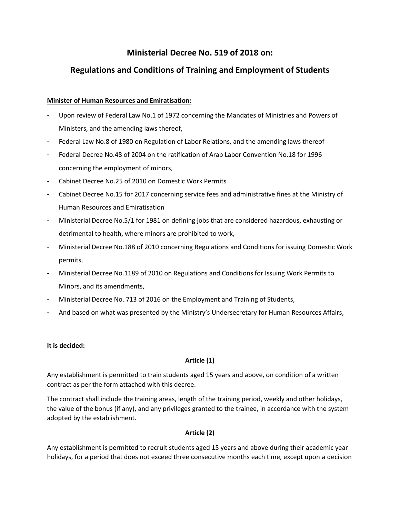# **Ministerial Decree No. 519 of 2018 on:**

# **Regulations and Conditions of Training and Employment of Students**

## **Minister of Human Resources and Emiratisation:**

- Upon review of Federal Law No.1 of 1972 concerning the Mandates of Ministries and Powers of Ministers, and the amending laws thereof,
- Federal Law No.8 of 1980 on Regulation of Labor Relations, and the amending laws thereof
- Federal Decree No.48 of 2004 on the ratification of Arab Labor Convention No.18 for 1996 concerning the employment of minors,
- Cabinet Decree No.25 of 2010 on Domestic Work Permits
- Cabinet Decree No.15 for 2017 concerning service fees and administrative fines at the Ministry of Human Resources and Emiratisation
- Ministerial Decree No.5/1 for 1981 on defining jobs that are considered hazardous, exhausting or detrimental to health, where minors are prohibited to work,
- Ministerial Decree No.188 of 2010 concerning Regulations and Conditions for issuing Domestic Work permits,
- Ministerial Decree No.1189 of 2010 on Regulations and Conditions for Issuing Work Permits to Minors, and its amendments,
- Ministerial Decree No. 713 of 2016 on the Employment and Training of Students,
- And based on what was presented by the Ministry's Undersecretary for Human Resources Affairs,

### **It is decided:**

### **Article (1)**

Any establishment is permitted to train students aged 15 years and above, on condition of a written contract as per the form attached with this decree.

The contract shall include the training areas, length of the training period, weekly and other holidays, the value of the bonus (if any), and any privileges granted to the trainee, in accordance with the system adopted by the establishment.

# **Article (2)**

Any establishment is permitted to recruit students aged 15 years and above during their academic year holidays, for a period that does not exceed three consecutive months each time, except upon a decision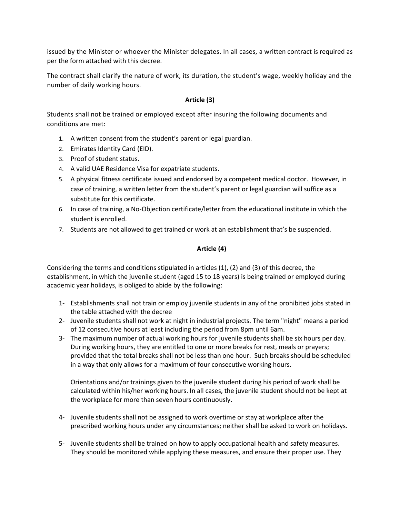issued by the Minister or whoever the Minister delegates. In all cases, a written contract is required as per the form attached with this decree.

The contract shall clarify the nature of work, its duration, the student's wage, weekly holiday and the number of daily working hours.

## **Article (3)**

Students shall not be trained or employed except after insuring the following documents and conditions are met:

- 1. A written consent from the student's parent or legal guardian.
- 2. Emirates Identity Card (EID).
- 3. Proof of student status.
- 4. A valid UAE Residence Visa for expatriate students.
- 5. A physical fitness certificate issued and endorsed by a competent medical doctor. However, in case of training, a written letter from the student's parent or legal guardian will suffice as a substitute for this certificate.
- 6. In case of training, a No-Objection certificate/letter from the educational institute in which the student is enrolled.
- 7. Students are not allowed to get trained or work at an establishment that's be suspended.

## **Article (4)**

Considering the terms and conditions stipulated in articles (1), (2) and (3) of this decree, the establishment, in which the juvenile student (aged 15 to 18 years) is being trained or employed during academic year holidays, is obliged to abide by the following:

- 1- Establishments shall not train or employ juvenile students in any of the prohibited jobs stated in the table attached with the decree
- 2- Juvenile students shall not work at night in industrial projects. The term "night" means a period of 12 consecutive hours at least including the period from 8pm until 6am.
- 3- The maximum number of actual working hours for juvenile students shall be six hours per day. During working hours, they are entitled to one or more breaks for rest, meals or prayers; provided that the total breaks shall not be less than one hour. Such breaks should be scheduled in a way that only allows for a maximum of four consecutive working hours.

Orientations and/or trainings given to the juvenile student during his period of work shall be calculated within his/her working hours. In all cases, the juvenile student should not be kept at the workplace for more than seven hours continuously.

- 4- Juvenile students shall not be assigned to work overtime or stay at workplace after the prescribed working hours under any circumstances; neither shall be asked to work on holidays.
- 5- Juvenile students shall be trained on how to apply occupational health and safety measures. They should be monitored while applying these measures, and ensure their proper use. They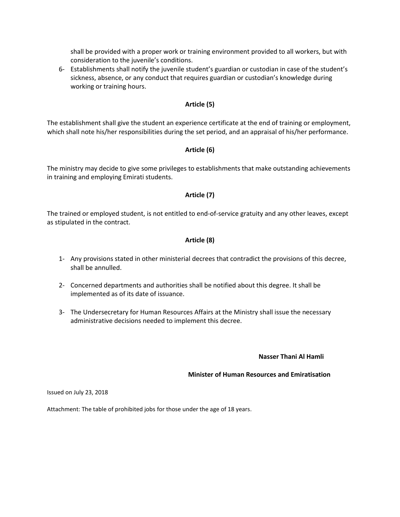shall be provided with a proper work or training environment provided to all workers, but with consideration to the juvenile's conditions.

6- Establishments shall notify the juvenile student's guardian or custodian in case of the student's sickness, absence, or any conduct that requires guardian or custodian's knowledge during working or training hours.

### **Article (5)**

The establishment shall give the student an experience certificate at the end of training or employment, which shall note his/her responsibilities during the set period, and an appraisal of his/her performance.

### **Article (6)**

The ministry may decide to give some privileges to establishments that make outstanding achievements in training and employing Emirati students.

#### **Article (7)**

The trained or employed student, is not entitled to end-of-service gratuity and any other leaves, except as stipulated in the contract.

### **Article (8)**

- 1- Any provisions stated in other ministerial decrees that contradict the provisions of this decree, shall be annulled.
- 2- Concerned departments and authorities shall be notified about this degree. It shall be implemented as of its date of issuance.
- 3- The Undersecretary for Human Resources Affairs at the Ministry shall issue the necessary administrative decisions needed to implement this decree.

#### **Nasser Thani Al Hamli**

#### **Minister of Human Resources and Emiratisation**

Issued on July 23, 2018

Attachment: The table of prohibited jobs for those under the age of 18 years.